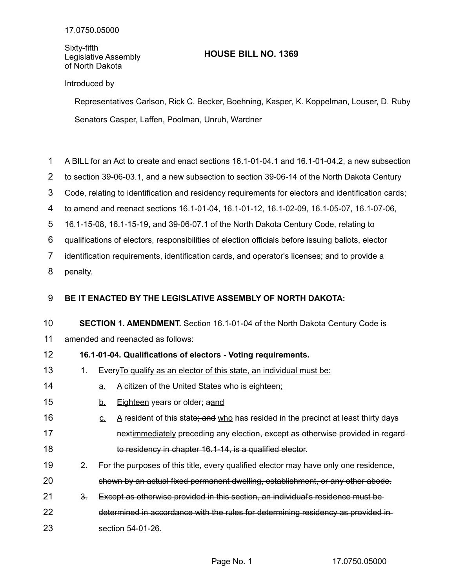Sixty-fifth Legislative Assembly of North Dakota

## **HOUSE BILL NO. 1369**

## Introduced by

Representatives Carlson, Rick C. Becker, Boehning, Kasper, K. Koppelman, Louser, D. Ruby Senators Casper, Laffen, Poolman, Unruh, Wardner

- A BILL for an Act to create and enact sections 16.1-01-04.1 and 16.1-01-04.2, a new subsection 1
- to section 39-06-03.1, and a new subsection to section 39-06-14 of the North Dakota Century 2
- Code, relating to identification and residency requirements for electors and identification cards; 3
- to amend and reenact sections 16.1-01-04, 16.1-01-12, 16.1-02-09, 16.1-05-07, 16.1-07-06, 4
- 16.1-15-08, 16.1-15-19, and 39-06-07.1 of the North Dakota Century Code, relating to 5
- qualifications of electors, responsibilities of election officials before issuing ballots, elector 6
- identification requirements, identification cards, and operator's licenses; and to provide a 7
- penalty. 8

## **BE IT ENACTED BY THE LEGISLATIVE ASSEMBLY OF NORTH DAKOTA:** 9

**SECTION 1. AMENDMENT.** Section 16.1-01-04 of the North Dakota Century Code is amended and reenacted as follows: 10 11

## **16.1-01-04. Qualifications of electors - Voting requirements.** 12

- 1. Every To qualify as an elector of this state, an individual must be: 13
- a. A citizen of the United States who is eighteen; 14
- b. Eighteen years or older; aand 15
- $c.$  A resident of this state; and who has resided in the precinct at least thirty days nextimmediately preceding any election, except as otherwise provided in regardto residency in chapter 16.1-14, is a qualified elector. 16 17 18
- 2. For the purposes of this title, every qualified elector may have only one residence, shown by an actual fixed permanent dwelling, establishment, or any other abode. 19 20
- 3. Except as otherwise provided in this section, an individual's residence must be 21
- determined in accordance with the rules for determining residency as provided in section 54-01-26. 22 23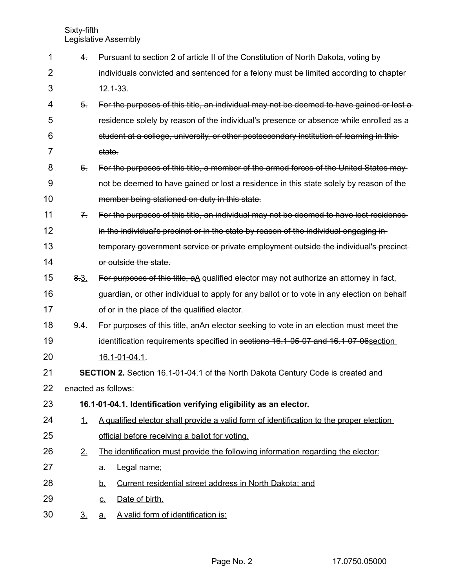| 1              | 4.                                                                              | Pursuant to section 2 of article II of the Constitution of North Dakota, voting by             |  |  |  |
|----------------|---------------------------------------------------------------------------------|------------------------------------------------------------------------------------------------|--|--|--|
| 2              |                                                                                 | individuals convicted and sentenced for a felony must be limited according to chapter          |  |  |  |
| 3              |                                                                                 | $12.1 - 33.$                                                                                   |  |  |  |
| 4              | $5 -$                                                                           | For the purposes of this title, an individual may not be deemed to have gained or lost a       |  |  |  |
| 5              |                                                                                 | residence solely by reason of the individual's presence or absence while enrolled as a         |  |  |  |
| 6              |                                                                                 | student at a college, university, or other postsecondary institution of learning in this-      |  |  |  |
| $\overline{7}$ |                                                                                 | state.                                                                                         |  |  |  |
| 8              | $6-$                                                                            | For the purposes of this title, a member of the armed forces of the United States may          |  |  |  |
| 9              |                                                                                 | not be deemed to have gained or lost a residence in this state solely by reason of the         |  |  |  |
| 10             |                                                                                 | member being stationed on duty in this state.                                                  |  |  |  |
| 11             | $7 -$                                                                           | For the purposes of this title, an individual may not be deemed to have lost residence         |  |  |  |
| 12             |                                                                                 | in the individual's precinct or in the state by reason of the individual engaging in-          |  |  |  |
| 13             |                                                                                 | temporary government service or private employment outside the individual's precinct-          |  |  |  |
| 14             |                                                                                 | or outside the state.                                                                          |  |  |  |
| 15             | 8.3.                                                                            | For purposes of this title, $a\Delta$ qualified elector may not authorize an attorney in fact, |  |  |  |
| 16             |                                                                                 | guardian, or other individual to apply for any ballot or to vote in any election on behalf     |  |  |  |
| 17             |                                                                                 | of or in the place of the qualified elector.                                                   |  |  |  |
| 18             | 9.4.                                                                            | For purposes of this title, an An elector seeking to vote in an election must meet the         |  |  |  |
| 19             |                                                                                 | identification requirements specified in sections 16.1-05-07 and 16.1-07-06 section            |  |  |  |
| 20             |                                                                                 | 16.1-01-04.1.                                                                                  |  |  |  |
| 21             | SECTION 2. Section 16.1-01-04.1 of the North Dakota Century Code is created and |                                                                                                |  |  |  |
| 22             |                                                                                 | enacted as follows:                                                                            |  |  |  |
| 23             |                                                                                 | 16.1-01-04.1. Identification verifying eligibility as an elector.                              |  |  |  |
| 24             | 1.                                                                              | A qualified elector shall provide a valid form of identification to the proper election        |  |  |  |
| 25             |                                                                                 | official before receiving a ballot for voting.                                                 |  |  |  |
| 26             | 2.                                                                              | The identification must provide the following information regarding the elector:               |  |  |  |
| 27             |                                                                                 | Legal name;<br><u>a.</u>                                                                       |  |  |  |
| 28             |                                                                                 | Current residential street address in North Dakota; and<br><u>b.</u>                           |  |  |  |
| 29             |                                                                                 | Date of birth.<br><u>c.</u>                                                                    |  |  |  |
| 30             | <u>3.</u>                                                                       | A valid form of identification is:<br><u>a.</u>                                                |  |  |  |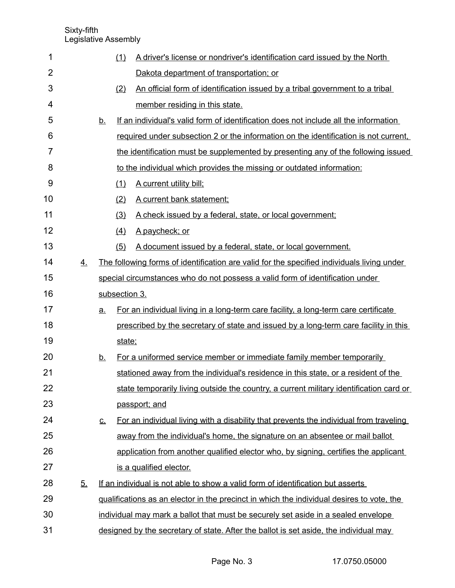| 1              |           |                            | (1)           | A driver's license or nondriver's identification card issued by the North                  |
|----------------|-----------|----------------------------|---------------|--------------------------------------------------------------------------------------------|
| $\overline{2}$ |           |                            |               | Dakota department of transportation; or                                                    |
| 3              |           |                            | (2)           | An official form of identification issued by a tribal government to a tribal               |
| 4              |           |                            |               | member residing in this state.                                                             |
| 5              |           | <u>b.</u>                  |               | If an individual's valid form of identification does not include all the information       |
| 6              |           |                            |               | required under subsection 2 or the information on the identification is not current.       |
| 7              |           |                            |               | the identification must be supplemented by presenting any of the following issued          |
| 8              |           |                            |               | to the individual which provides the missing or outdated information:                      |
| 9              |           |                            | (1)           | A current utility bill;                                                                    |
| 10             |           |                            | (2)           | A current bank statement;                                                                  |
| 11             |           |                            | (3)           | A check issued by a federal, state, or local government;                                   |
| 12             |           |                            | (4)           | A paycheck; or                                                                             |
| 13             |           |                            | (5)           | A document issued by a federal, state, or local government.                                |
| 14             | <u>4.</u> |                            |               | The following forms of identification are valid for the specified individuals living under |
| 15             |           |                            |               | special circumstances who do not possess a valid form of identification under              |
| 16             |           |                            | subsection 3. |                                                                                            |
| 17             |           | <u>a.</u>                  |               | For an individual living in a long-term care facility, a long-term care certificate        |
| 18             |           |                            |               | prescribed by the secretary of state and issued by a long-term care facility in this       |
| 19             |           |                            | state:        |                                                                                            |
| 20             |           | <u>b.</u>                  |               | For a uniformed service member or immediate family member temporarily                      |
| 21             |           |                            |               | stationed away from the individual's residence in this state, or a resident of the         |
| 22             |           |                            |               | state temporarily living outside the country, a current military identification card or    |
| 23             |           |                            |               | passport; and                                                                              |
| 24             |           | $\underline{\mathsf{C}}$ . |               | For an individual living with a disability that prevents the individual from traveling     |
| 25             |           |                            |               | away from the individual's home, the signature on an absentee or mail ballot               |
| 26             |           |                            |               | application from another qualified elector who, by signing, certifies the applicant        |
| 27             |           |                            |               | is a qualified elector.                                                                    |
| 28             | 5.        |                            |               | If an individual is not able to show a valid form of identification but asserts            |
| 29             |           |                            |               | qualifications as an elector in the precinct in which the individual desires to vote, the  |
| 30             |           |                            |               | individual may mark a ballot that must be securely set aside in a sealed envelope          |
| 31             |           |                            |               | designed by the secretary of state. After the ballot is set aside, the individual may      |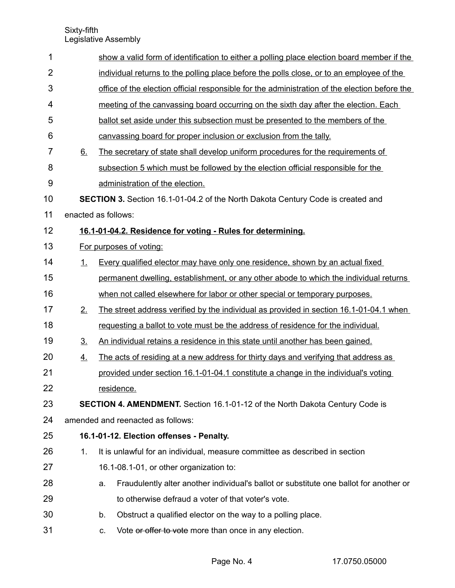| 1              |                | show a valid form of identification to either a polling place election board member if the    |
|----------------|----------------|-----------------------------------------------------------------------------------------------|
| $\overline{2}$ |                | individual returns to the polling place before the polls close, or to an employee of the      |
| 3              |                | office of the election official responsible for the administration of the election before the |
| 4              |                | meeting of the canvassing board occurring on the sixth day after the election. Each           |
| 5              |                | ballot set aside under this subsection must be presented to the members of the                |
| 6              |                | canvassing board for proper inclusion or exclusion from the tally.                            |
| 7              | 6.             | The secretary of state shall develop uniform procedures for the requirements of               |
| 8              |                | subsection 5 which must be followed by the election official responsible for the              |
| 9              |                | administration of the election.                                                               |
| 10             |                | <b>SECTION 3.</b> Section 16.1-01-04.2 of the North Dakota Century Code is created and        |
| 11             |                | enacted as follows:                                                                           |
| 12             |                | 16.1-01-04.2. Residence for voting - Rules for determining.                                   |
| 13             |                | For purposes of voting:                                                                       |
| 14             | 1.             | Every qualified elector may have only one residence, shown by an actual fixed                 |
| 15             |                | permanent dwelling, establishment, or any other abode to which the individual returns         |
| 16             |                | when not called elsewhere for labor or other special or temporary purposes.                   |
| 17             | 2.             | The street address verified by the individual as provided in section 16.1-01-04.1 when        |
| 18             |                | requesting a ballot to vote must be the address of residence for the individual.              |
| 19             | 3 <sub>1</sub> | An individual retains a residence in this state until another has been gained.                |
| 20             | 4.             | The acts of residing at a new address for thirty days and verifying that address as           |
| 21             |                | provided under section 16.1-01-04.1 constitute a change in the individual's voting            |
| 22             |                | residence.                                                                                    |
| 23             |                | SECTION 4. AMENDMENT. Section 16.1-01-12 of the North Dakota Century Code is                  |
| 24             |                | amended and reenacted as follows:                                                             |
| 25             |                | 16.1-01-12. Election offenses - Penalty.                                                      |
| 26             | 1.             | It is unlawful for an individual, measure committee as described in section                   |
| 27             |                | 16.1-08.1-01, or other organization to:                                                       |
| 28             |                | Fraudulently alter another individual's ballot or substitute one ballot for another or<br>a.  |
| 29             |                | to otherwise defraud a voter of that voter's vote.                                            |
| 30             |                | Obstruct a qualified elector on the way to a polling place.<br>b.                             |
| 31             |                | Vote or offer to vote more than once in any election.<br>C.                                   |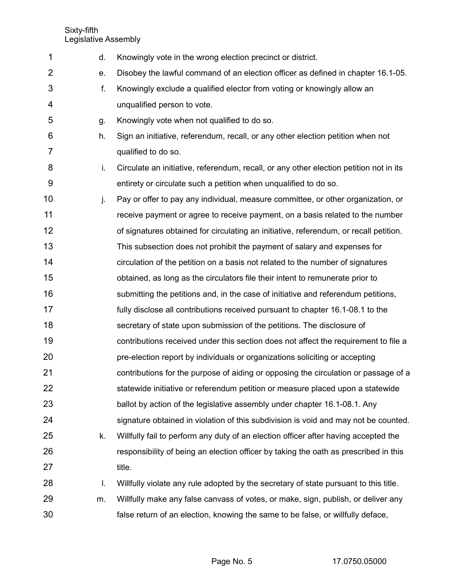| 1  | d. | Knowingly vote in the wrong election precinct or district.                             |
|----|----|----------------------------------------------------------------------------------------|
| 2  | е. | Disobey the lawful command of an election officer as defined in chapter 16.1-05.       |
| 3  | f. | Knowingly exclude a qualified elector from voting or knowingly allow an                |
| 4  |    | unqualified person to vote.                                                            |
| 5  | g. | Knowingly vote when not qualified to do so.                                            |
| 6  | h. | Sign an initiative, referendum, recall, or any other election petition when not        |
| 7  |    | qualified to do so.                                                                    |
| 8  | i. | Circulate an initiative, referendum, recall, or any other election petition not in its |
| 9  |    | entirety or circulate such a petition when unqualified to do so.                       |
| 10 | j. | Pay or offer to pay any individual, measure committee, or other organization, or       |
| 11 |    | receive payment or agree to receive payment, on a basis related to the number          |
| 12 |    | of signatures obtained for circulating an initiative, referendum, or recall petition.  |
| 13 |    | This subsection does not prohibit the payment of salary and expenses for               |
| 14 |    | circulation of the petition on a basis not related to the number of signatures         |
| 15 |    | obtained, as long as the circulators file their intent to remunerate prior to          |
| 16 |    | submitting the petitions and, in the case of initiative and referendum petitions,      |
| 17 |    | fully disclose all contributions received pursuant to chapter 16.1-08.1 to the         |
| 18 |    | secretary of state upon submission of the petitions. The disclosure of                 |
| 19 |    | contributions received under this section does not affect the requirement to file a    |
| 20 |    | pre-election report by individuals or organizations soliciting or accepting            |
| 21 |    | contributions for the purpose of aiding or opposing the circulation or passage of a    |
| 22 |    | statewide initiative or referendum petition or measure placed upon a statewide         |
| 23 |    | ballot by action of the legislative assembly under chapter 16.1-08.1. Any              |
| 24 |    | signature obtained in violation of this subdivision is void and may not be counted.    |
| 25 | k. | Willfully fail to perform any duty of an election officer after having accepted the    |
| 26 |    | responsibility of being an election officer by taking the oath as prescribed in this   |
| 27 |    | title.                                                                                 |
| 28 | I. | Willfully violate any rule adopted by the secretary of state pursuant to this title.   |
| 29 | m. | Willfully make any false canvass of votes, or make, sign, publish, or deliver any      |
| 30 |    | false return of an election, knowing the same to be false, or willfully deface,        |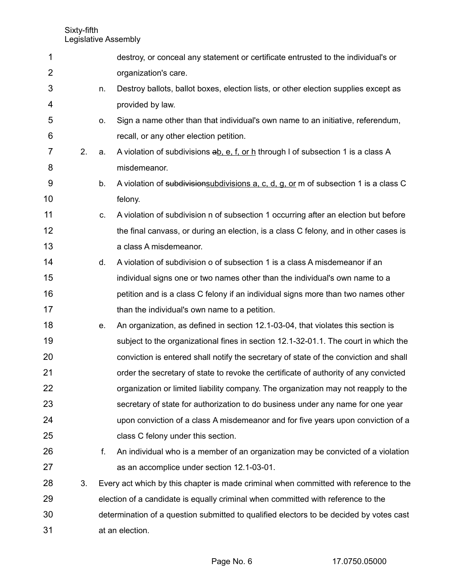| 1              |    |    | destroy, or conceal any statement or certificate entrusted to the individual's or       |
|----------------|----|----|-----------------------------------------------------------------------------------------|
| $\overline{2}$ |    |    | organization's care.                                                                    |
| 3              |    | n. | Destroy ballots, ballot boxes, election lists, or other election supplies except as     |
| 4              |    |    | provided by law.                                                                        |
| 5              |    | 0. | Sign a name other than that individual's own name to an initiative, referendum,         |
| 6              |    |    | recall, or any other election petition.                                                 |
| 7              | 2. | a. | A violation of subdivisions ab, e, f, or h through I of subsection 1 is a class A       |
| 8              |    |    | misdemeanor.                                                                            |
| 9              |    | b. | A violation of subdivisions ubdivisions a, c, d, g, or m of subsection 1 is a class C   |
| 10             |    |    | felony.                                                                                 |
| 11             |    | C. | A violation of subdivision n of subsection 1 occurring after an election but before     |
| 12             |    |    | the final canvass, or during an election, is a class C felony, and in other cases is    |
| 13             |    |    | a class A misdemeanor.                                                                  |
| 14             |    | d. | A violation of subdivision o of subsection 1 is a class A misdemeanor if an             |
| 15             |    |    | individual signs one or two names other than the individual's own name to a             |
| 16             |    |    | petition and is a class C felony if an individual signs more than two names other       |
| 17             |    |    | than the individual's own name to a petition.                                           |
| 18             |    | e. | An organization, as defined in section 12.1-03-04, that violates this section is        |
| 19             |    |    | subject to the organizational fines in section 12.1-32-01.1. The court in which the     |
| 20             |    |    | conviction is entered shall notify the secretary of state of the conviction and shall   |
| 21             |    |    | order the secretary of state to revoke the certificate of authority of any convicted    |
| 22             |    |    | organization or limited liability company. The organization may not reapply to the      |
| 23             |    |    | secretary of state for authorization to do business under any name for one year         |
| 24             |    |    | upon conviction of a class A misdemeanor and for five years upon conviction of a        |
| 25             |    |    | class C felony under this section.                                                      |
| 26             |    | f. | An individual who is a member of an organization may be convicted of a violation        |
| 27             |    |    | as an accomplice under section 12.1-03-01.                                              |
| 28             | 3. |    | Every act which by this chapter is made criminal when committed with reference to the   |
| 29             |    |    | election of a candidate is equally criminal when committed with reference to the        |
| 30             |    |    | determination of a question submitted to qualified electors to be decided by votes cast |
| 31             |    |    | at an election.                                                                         |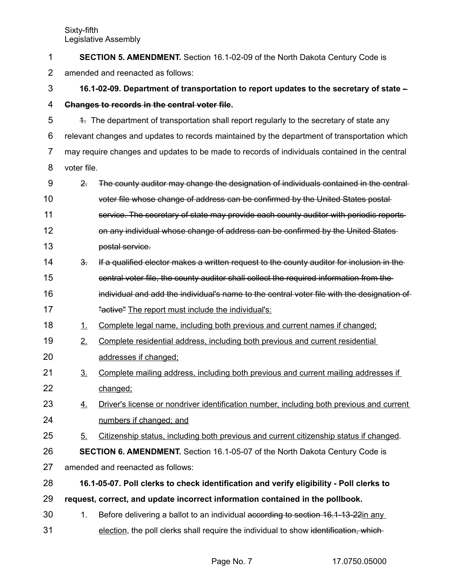| 1              | <b>SECTION 5. AMENDMENT.</b> Section 16.1-02-09 of the North Dakota Century Code is    |                                                                                               |  |  |
|----------------|----------------------------------------------------------------------------------------|-----------------------------------------------------------------------------------------------|--|--|
| $\overline{2}$ | amended and reenacted as follows:                                                      |                                                                                               |  |  |
| 3              | 16.1-02-09. Department of transportation to report updates to the secretary of state - |                                                                                               |  |  |
| 4              |                                                                                        | Changes to records in the central voter file.                                                 |  |  |
| 5              |                                                                                        | 4. The department of transportation shall report regularly to the secretary of state any      |  |  |
| 6              |                                                                                        | relevant changes and updates to records maintained by the department of transportation which  |  |  |
| 7              |                                                                                        | may require changes and updates to be made to records of individuals contained in the central |  |  |
| 8              | voter file.                                                                            |                                                                                               |  |  |
| 9              | 2.5                                                                                    | The county auditor may change the designation of individuals contained in the central         |  |  |
| 10             |                                                                                        | voter file whose change of address can be confirmed by the United States postal-              |  |  |
| 11             |                                                                                        | service. The secretary of state may provide each county auditor with periodic reports-        |  |  |
| 12             |                                                                                        | on any individual whose change of address can be confirmed by the United States               |  |  |
| 13             |                                                                                        | postal service.                                                                               |  |  |
| 14             | 3.5                                                                                    | If a qualified elector makes a written request to the county auditor for inclusion in the     |  |  |
| 15             |                                                                                        | central voter file, the county auditor shall collect the required information from the        |  |  |
| 16             |                                                                                        | individual and add the individual's name to the central voter file with the designation of    |  |  |
| 17             |                                                                                        | "active" The report must include the individual's:                                            |  |  |
| 18             | 1.                                                                                     | Complete legal name, including both previous and current names if changed;                    |  |  |
| 19             | 2.                                                                                     | Complete residential address, including both previous and current residential                 |  |  |
| 20             |                                                                                        | addresses if changed;                                                                         |  |  |
| 21             | $\underline{3}$ .                                                                      | Complete mailing address, including both previous and current mailing addresses if            |  |  |
| 22             |                                                                                        | changed;                                                                                      |  |  |
| 23             | <u>4.</u>                                                                              | Driver's license or nondriver identification number, including both previous and current      |  |  |
| 24             |                                                                                        | numbers if changed; and                                                                       |  |  |
| 25             | 5.                                                                                     | Citizenship status, including both previous and current citizenship status if changed.        |  |  |
| 26             | <b>SECTION 6. AMENDMENT.</b> Section 16.1-05-07 of the North Dakota Century Code is    |                                                                                               |  |  |
| 27             |                                                                                        | amended and reenacted as follows:                                                             |  |  |
| 28             |                                                                                        | 16.1-05-07. Poll clerks to check identification and verify eligibility - Poll clerks to       |  |  |
| 29             |                                                                                        | request, correct, and update incorrect information contained in the pollbook.                 |  |  |
| 30             | 1.                                                                                     | Before delivering a ballot to an individual according to section 16.1-13-22in any             |  |  |
| 31             |                                                                                        | election, the poll clerks shall require the individual to show identification, which-         |  |  |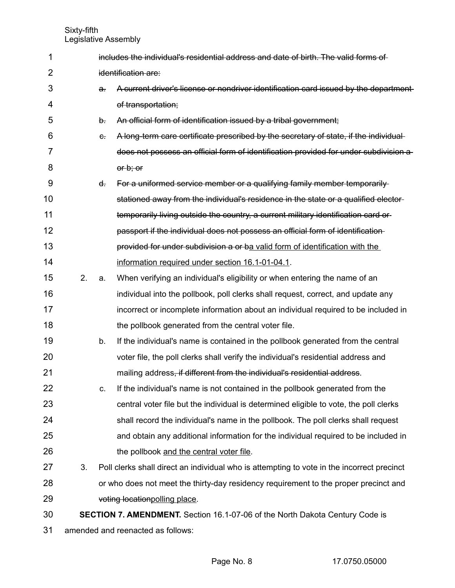| 1  |    |                     | includes the individual's residential address and date of birth. The valid forms of        |  |  |
|----|----|---------------------|--------------------------------------------------------------------------------------------|--|--|
| 2  |    | identification are: |                                                                                            |  |  |
| 3  |    | a.                  | A current driver's license or nondriver identification card issued by the department       |  |  |
| 4  |    |                     | of transportation;                                                                         |  |  |
| 5  |    | $\theta$ .          | An official form of identification issued by a tribal government;                          |  |  |
| 6  |    | $\epsilon$ .        | A long-term care certificate prescribed by the secretary of state, if the individual-      |  |  |
| 7  |    |                     | does not possess an official form of identification provided for under subdivision a       |  |  |
| 8  |    |                     | or b; or                                                                                   |  |  |
| 9  |    | $\mathbf{d}$ .      | For a uniformed service member or a qualifying family member temporarily-                  |  |  |
| 10 |    |                     | stationed away from the individual's residence in the state or a qualified elector-        |  |  |
| 11 |    |                     | temporarily living outside the country, a current military identification card or          |  |  |
| 12 |    |                     | passport if the individual does not possess an official form of identification-            |  |  |
| 13 |    |                     | provided for under subdivision a or ba valid form of identification with the               |  |  |
| 14 |    |                     | information required under section 16.1-01-04.1.                                           |  |  |
| 15 | 2. | a.                  | When verifying an individual's eligibility or when entering the name of an                 |  |  |
| 16 |    |                     | individual into the pollbook, poll clerks shall request, correct, and update any           |  |  |
| 17 |    |                     | incorrect or incomplete information about an individual required to be included in         |  |  |
| 18 |    |                     | the pollbook generated from the central voter file.                                        |  |  |
| 19 |    | b.                  | If the individual's name is contained in the pollbook generated from the central           |  |  |
| 20 |    |                     | voter file, the poll clerks shall verify the individual's residential address and          |  |  |
| 21 |    |                     | mailing address, if different from the individual's residential address.                   |  |  |
| 22 |    | C.                  | If the individual's name is not contained in the pollbook generated from the               |  |  |
| 23 |    |                     | central voter file but the individual is determined eligible to vote, the poll clerks      |  |  |
| 24 |    |                     | shall record the individual's name in the pollbook. The poll clerks shall request          |  |  |
| 25 |    |                     | and obtain any additional information for the individual required to be included in        |  |  |
| 26 |    |                     | the pollbook and the central voter file.                                                   |  |  |
| 27 | 3. |                     | Poll clerks shall direct an individual who is attempting to vote in the incorrect precinct |  |  |
| 28 |    |                     | or who does not meet the thirty-day residency requirement to the proper precinct and       |  |  |
| 29 |    |                     | voting location polling place.                                                             |  |  |
| 30 |    |                     | SECTION 7. AMENDMENT. Section 16.1-07-06 of the North Dakota Century Code is               |  |  |
| 31 |    |                     | amended and reenacted as follows:                                                          |  |  |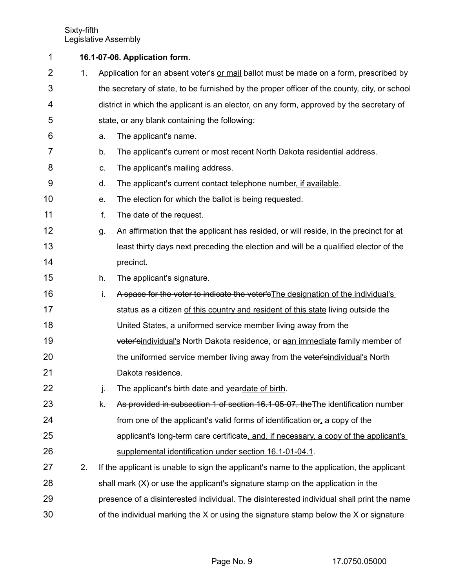| 1              |    |    | 16.1-07-06. Application form.                                                                 |
|----------------|----|----|-----------------------------------------------------------------------------------------------|
| $\overline{2}$ | 1. |    | Application for an absent voter's or mail ballot must be made on a form, prescribed by        |
| 3              |    |    | the secretary of state, to be furnished by the proper officer of the county, city, or school  |
| 4              |    |    | district in which the applicant is an elector, on any form, approved by the secretary of      |
| 5              |    |    | state, or any blank containing the following:                                                 |
| 6              |    | a. | The applicant's name.                                                                         |
| 7              |    | b. | The applicant's current or most recent North Dakota residential address.                      |
| 8              |    | C. | The applicant's mailing address.                                                              |
| 9              |    | d. | The applicant's current contact telephone number, if available.                               |
| 10             |    | е. | The election for which the ballot is being requested.                                         |
| 11             |    | f. | The date of the request.                                                                      |
| 12             |    | g. | An affirmation that the applicant has resided, or will reside, in the precinct for at         |
| 13             |    |    | least thirty days next preceding the election and will be a qualified elector of the          |
| 14             |    |    | precinct.                                                                                     |
| 15             |    | h. | The applicant's signature.                                                                    |
| 16             |    | i. | A space for the voter to indicate the voter's The designation of the individual's             |
| 17             |    |    | status as a citizen of this country and resident of this state living outside the             |
| 18             |    |    | United States, a uniformed service member living away from the                                |
| 19             |    |    | voter'sindividual's North Dakota residence, or aan immediate family member of                 |
| 20             |    |    | the uniformed service member living away from the voter'sindividual's North                   |
| 21             |    |    | Dakota residence.                                                                             |
| 22             |    | j. | The applicant's <del>birth date and yeardate of birth</del> .                                 |
| 23             |    | k. | As provided in subsection 1 of section 16.1-05-07, the The identification number              |
| 24             |    |    | from one of the applicant's valid forms of identification $\Theta$ <sub>1</sub> a copy of the |
| 25             |    |    | applicant's long-term care certificate, and, if necessary, a copy of the applicant's          |
| 26             |    |    | supplemental identification under section 16.1-01-04.1.                                       |
| 27             | 2. |    | If the applicant is unable to sign the applicant's name to the application, the applicant     |
| 28             |    |    | shall mark (X) or use the applicant's signature stamp on the application in the               |
| 29             |    |    | presence of a disinterested individual. The disinterested individual shall print the name     |
| 30             |    |    | of the individual marking the X or using the signature stamp below the X or signature         |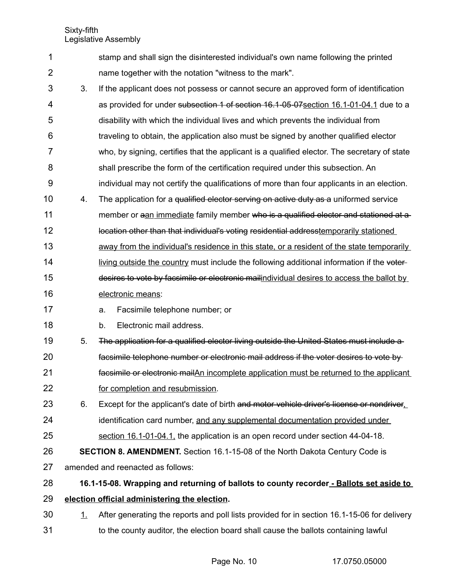|   | stamp and shall sign the disinterested individual's own name following the printed |
|---|------------------------------------------------------------------------------------|
| 2 | name together with the notation "witness to the mark".                             |

- 3. If the applicant does not possess or cannot secure an approved form of identification as provided for under subsection 1 of section 16.1-05-07 section 16.1-01-04.1 due to a disability with which the individual lives and which prevents the individual from traveling to obtain, the application also must be signed by another qualified elector who, by signing, certifies that the applicant is a qualified elector. The secretary of state shall prescribe the form of the certification required under this subsection. An individual may not certify the qualifications of more than four applicants in an election. 3 4 5 6 7 8 9
- 4. The application for a qualified elector serving on active duty as a uniformed service member or a an immediate family member who is a qualified elector and stationed at a location other than that individual's voting residential addresstemporarily stationed away from the individual's residence in this state, or a resident of the state temporarily 10 11 12 13
- living outside the country must include the following additional information if the voterdesires to vote by facsimile or electronic mailindividual desires to access the ballot by 14 15
- electronic means: 16

a. Facsimile telephone number; or 17

18

b. Electronic mail address.

5. The application for a qualified elector living outside the United States must include a 19

- facsimile telephone number or electronic mail address if the voter desires to vote by facsimile or electronic mailAn incomplete application must be returned to the applicant for completion and resubmission. 20 21 22
- 6. Except for the applicant's date of birth and motor vehicle driver's license or nondriver. identification card number, and any supplemental documentation provided under section 16.1-01-04.1, the application is an open record under section 44-04-18. 23 24 25
- **SECTION 8. AMENDMENT.** Section 16.1-15-08 of the North Dakota Century Code is 26
- amended and reenacted as follows: 27

**16.1-15-08. Wrapping and returning of ballots to county recorder - Ballots set aside to election official administering the election.** 28 29

1. After generating the reports and poll lists provided for in section 16.1-15-06 for delivery to the county auditor, the election board shall cause the ballots containing lawful 30 31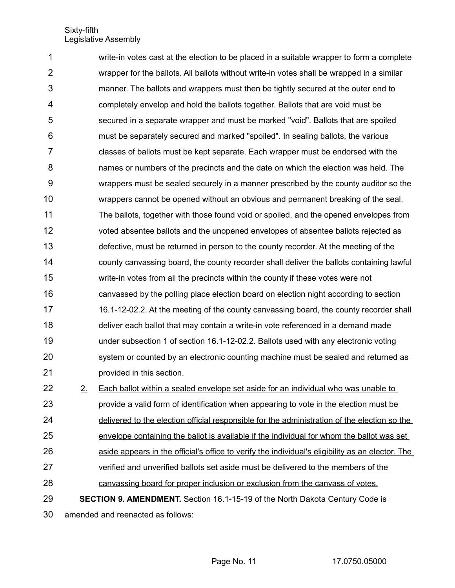write-in votes cast at the election to be placed in a suitable wrapper to form a complete wrapper for the ballots. All ballots without write-in votes shall be wrapped in a similar manner. The ballots and wrappers must then be tightly secured at the outer end to completely envelop and hold the ballots together. Ballots that are void must be secured in a separate wrapper and must be marked "void". Ballots that are spoiled must be separately secured and marked "spoiled". In sealing ballots, the various classes of ballots must be kept separate. Each wrapper must be endorsed with the names or numbers of the precincts and the date on which the election was held. The wrappers must be sealed securely in a manner prescribed by the county auditor so the wrappers cannot be opened without an obvious and permanent breaking of the seal. The ballots, together with those found void or spoiled, and the opened envelopes from voted absentee ballots and the unopened envelopes of absentee ballots rejected as defective, must be returned in person to the county recorder. At the meeting of the county canvassing board, the county recorder shall deliver the ballots containing lawful write-in votes from all the precincts within the county if these votes were not canvassed by the polling place election board on election night according to section 16.1-12-02.2. At the meeting of the county canvassing board, the county recorder shall deliver each ballot that may contain a write-in vote referenced in a demand made under subsection 1 of section 16.1-12-02.2. Ballots used with any electronic voting system or counted by an electronic counting machine must be sealed and returned as provided in this section. 2. Each ballot within a sealed envelope set aside for an individual who was unable to provide a valid form of identification when appearing to vote in the election must be 1 2 3 4 5 6 7 8 9 10 11 12 13 14 15 16 17 18 19 20 21 22 23

delivered to the election official responsible for the administration of the election so the envelope containing the ballot is available if the individual for whom the ballot was set aside appears in the official's office to verify the individual's eligibility as an elector. The verified and unverified ballots set aside must be delivered to the members of the canvassing board for proper inclusion or exclusion from the canvass of votes. 24 25 26 27 28

**SECTION 9. AMENDMENT.** Section 16.1-15-19 of the North Dakota Century Code is 29

amended and reenacted as follows: 30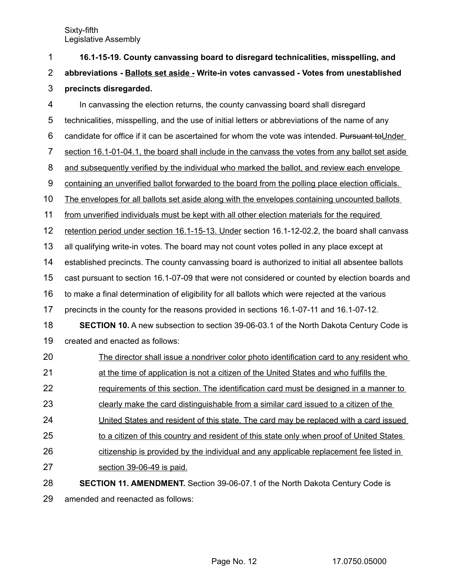| 1              | 16.1-15-19. County canvassing board to disregard technicalities, misspelling, and                 |
|----------------|---------------------------------------------------------------------------------------------------|
| $\overline{2}$ | abbreviations - Ballots set aside - Write-in votes canvassed - Votes from unestablished           |
| 3              | precincts disregarded.                                                                            |
| 4              | In canvassing the election returns, the county canvassing board shall disregard                   |
| 5              | technicalities, misspelling, and the use of initial letters or abbreviations of the name of any   |
| 6              | candidate for office if it can be ascertained for whom the vote was intended. Pursuant to Under   |
| $\overline{7}$ | section 16.1-01-04.1, the board shall include in the canvass the votes from any ballot set aside  |
| 8              | and subsequently verified by the individual who marked the ballot, and review each envelope       |
| 9              | containing an unverified ballot forwarded to the board from the polling place election officials. |
| 10             | The envelopes for all ballots set aside along with the envelopes containing uncounted ballots     |
| 11             | from unverified individuals must be kept with all other election materials for the required       |
| 12             | retention period under section 16.1-15-13. Under section 16.1-12-02.2, the board shall canvass    |
| 13             | all qualifying write-in votes. The board may not count votes polled in any place except at        |
| 14             | established precincts. The county canvassing board is authorized to initial all absentee ballots  |
| 15             | cast pursuant to section 16.1-07-09 that were not considered or counted by election boards and    |
| 16             | to make a final determination of eligibility for all ballots which were rejected at the various   |
| 17             | precincts in the county for the reasons provided in sections 16.1-07-11 and 16.1-07-12.           |
| 18             | <b>SECTION 10.</b> A new subsection to section 39-06-03.1 of the North Dakota Century Code is     |
| 19             | created and enacted as follows:                                                                   |
| 20             | The director shall issue a nondriver color photo identification card to any resident who          |
| 21             | at the time of application is not a citizen of the United States and who fulfills the             |
| 22             | requirements of this section. The identification card must be designed in a manner to             |
| 23             | clearly make the card distinguishable from a similar card issued to a citizen of the              |
| 24             | United States and resident of this state. The card may be replaced with a card issued             |
| 25             | to a citizen of this country and resident of this state only when proof of United States          |
| 26             | citizenship is provided by the individual and any applicable replacement fee listed in            |
| 27             | section 39-06-49 is paid.                                                                         |
| 28             | <b>SECTION 11. AMENDMENT.</b> Section 39-06-07.1 of the North Dakota Century Code is              |
| 29             | amended and reenacted as follows:                                                                 |